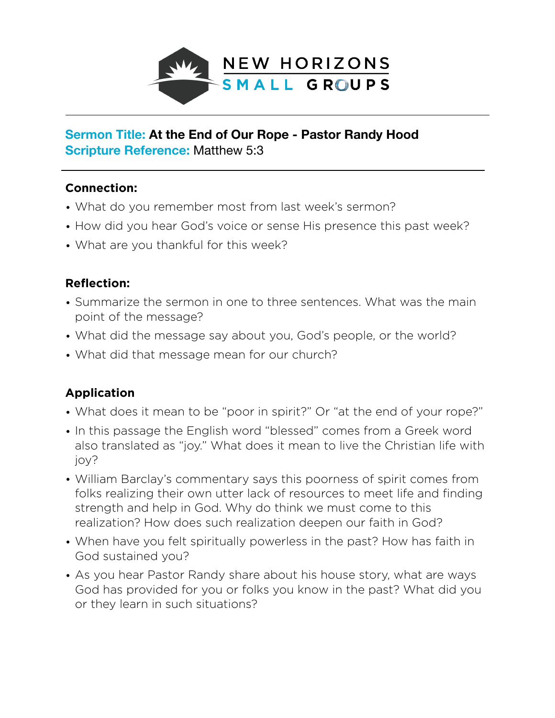

## **Sermon Title: At the End of Our Rope - Pastor Randy Hood Scripture Reference:** Matthew 5:3

## **Connection:**

- What do you remember most from last week's sermon?
- How did you hear God's voice or sense His presence this past week?
- What are you thankful for this week?

## **Reflection:**

- Summarize the sermon in one to three sentences. What was the main point of the message?
- What did the message say about you, God's people, or the world?
- What did that message mean for our church?

## **Application**

- What does it mean to be "poor in spirit?" Or "at the end of your rope?"
- In this passage the English word "blessed" comes from a Greek word also translated as "joy." What does it mean to live the Christian life with joy?
- William Barclay's commentary says this poorness of spirit comes from folks realizing their own utter lack of resources to meet life and finding strength and help in God. Why do think we must come to this realization? How does such realization deepen our faith in God?
- When have you felt spiritually powerless in the past? How has faith in God sustained you?
- As you hear Pastor Randy share about his house story, what are ways God has provided for you or folks you know in the past? What did you or they learn in such situations?